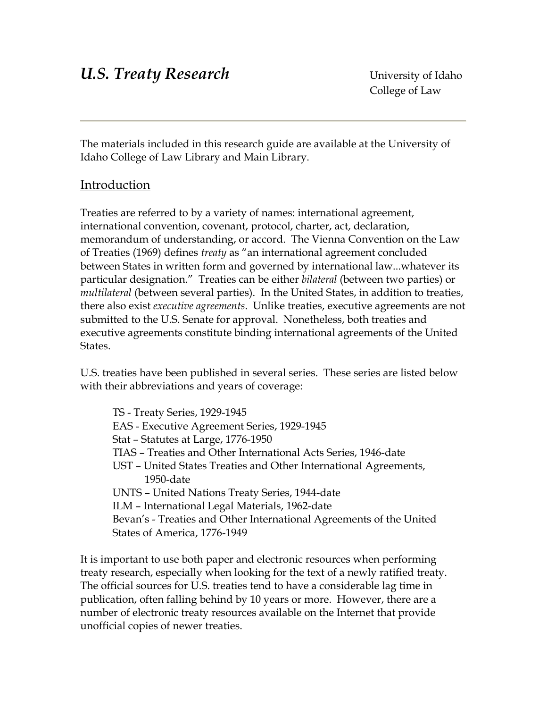The materials included in this research guide are available at the University of Idaho College of Law Library and Main Library.

# Introduction

Treaties are referred to by a variety of names: international agreement, international convention, covenant, protocol, charter, act, declaration, memorandum of understanding, or accord. The Vienna Convention on the Law of Treaties (1969) defines *treaty* as "an international agreement concluded between States in written form and governed by international law...whatever its particular designation." Treaties can be either *bilateral* (between two parties) or *multilateral* (between several parties). In the United States, in addition to treaties, there also exist *executive agreements*. Unlike treaties, executive agreements are not submitted to the U.S. Senate for approval. Nonetheless, both treaties and executive agreements constitute binding international agreements of the United States.

U.S. treaties have been published in several series. These series are listed below with their abbreviations and years of coverage:

TS - Treaty Series, 1929-1945 EAS - Executive Agreement Series, 1929-1945 Stat – Statutes at Large, 1776-1950 TIAS – Treaties and Other International Acts Series, 1946-date UST – United States Treaties and Other International Agreements, 1950-date UNTS – United Nations Treaty Series, 1944-date ILM – International Legal Materials, 1962-date Bevan's - Treaties and Other International Agreements of the United States of America, 1776-1949

It is important to use both paper and electronic resources when performing treaty research, especially when looking for the text of a newly ratified treaty. The official sources for U.S. treaties tend to have a considerable lag time in publication, often falling behind by 10 years or more. However, there are a number of electronic treaty resources available on the Internet that provide unofficial copies of newer treaties.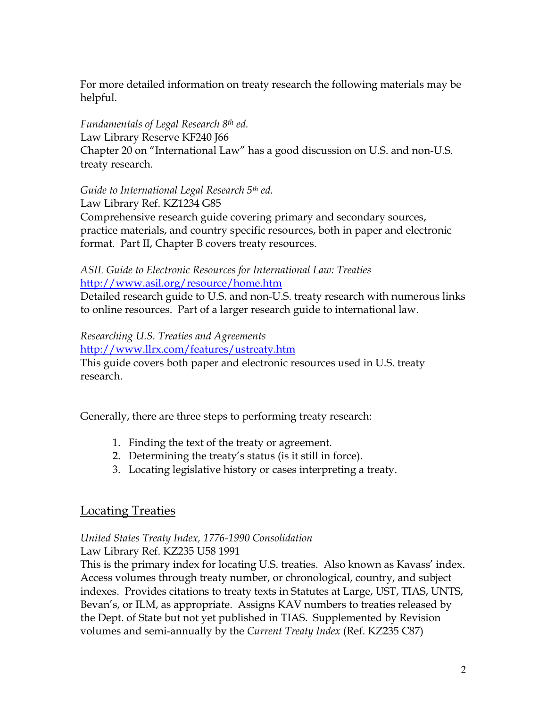For more detailed information on treaty research the following materials may be helpful.

*Fundamentals of Legal Research 8th ed.*  Law Library Reserve KF240 J66 Chapter 20 on "International Law" has a good discussion on U.S. and non-U.S. treaty research.

*Guide to International Legal Research 5th ed.* 

Law Library Ref. KZ1234 G85

Comprehensive research guide covering primary and secondary sources, practice materials, and country specific resources, both in paper and electronic format. Part II, Chapter B covers treaty resources.

#### *ASIL Guide to Electronic Resources for International Law: Treaties*  <http://www.asil.org/resource/home.htm>

Detailed research guide to U.S. and non-U.S. treaty research with numerous links to online resources. Part of a larger research guide to international law.

*Researching U.S. Treaties and Agreements* 

<http://www.llrx.com/features/ustreaty.htm> This guide covers both paper and electronic resources used in U.S. treaty research.

Generally, there are three steps to performing treaty research:

- 1. Finding the text of the treaty or agreement.
- 2. Determining the treaty's status (is it still in force).
- 3. Locating legislative history or cases interpreting a treaty.

# Locating Treaties

#### *United States Treaty Index, 1776-1990 Consolidation* Law Library Ref. KZ235 U58 1991

This is the primary index for locating U.S. treaties. Also known as Kavass' index. Access volumes through treaty number, or chronological, country, and subject indexes. Provides citations to treaty texts in Statutes at Large, UST, TIAS, UNTS, Bevan's, or ILM, as appropriate. Assigns KAV numbers to treaties released by the Dept. of State but not yet published in TIAS. Supplemented by Revision volumes and semi-annually by the *Current Treaty Index* (Ref. KZ235 C87)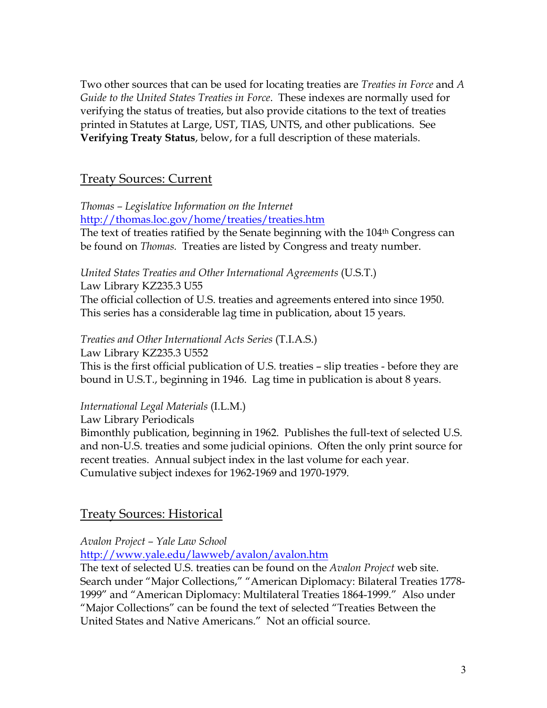Two other sources that can be used for locating treaties are *Treaties in Force* and *A Guide to the United States Treaties in Force*. These indexes are normally used for verifying the status of treaties, but also provide citations to the text of treaties printed in Statutes at Large, UST, TIAS, UNTS, and other publications. See **Verifying Treaty Status**, below, for a full description of these materials.

## Treaty Sources: Current

*Thomas – Legislative Information on the Internet*  <http://thomas.loc.gov/home/treaties/treaties.htm> The text of treaties ratified by the Senate beginning with the 104<sup>th</sup> Congress can be found on *Thomas.* Treaties are listed by Congress and treaty number.

*United States Treaties and Other International Agreements* (U.S.T.)

Law Library KZ235.3 U55 The official collection of U.S. treaties and agreements entered into since 1950. This series has a considerable lag time in publication, about 15 years.

*Treaties and Other International Acts Series* (T.I.A.S.)

Law Library KZ235.3 U552

This is the first official publication of U.S. treaties – slip treaties - before they are bound in U.S.T., beginning in 1946. Lag time in publication is about 8 years.

*International Legal Materials* (I.L.M.)

Law Library Periodicals

Bimonthly publication, beginning in 1962. Publishes the full-text of selected U.S. and non-U.S. treaties and some judicial opinions. Often the only print source for recent treaties. Annual subject index in the last volume for each year. Cumulative subject indexes for 1962-1969 and 1970-1979.

# Treaty Sources: Historical

## *Avalon Project – Yale Law School*

<http://www.yale.edu/lawweb/avalon/avalon.htm>

The text of selected U.S. treaties can be found on the *Avalon Project* web site. Search under "Major Collections," "American Diplomacy: Bilateral Treaties 1778- 1999" and "American Diplomacy: Multilateral Treaties 1864-1999." Also under "Major Collections" can be found the text of selected "Treaties Between the United States and Native Americans." Not an official source.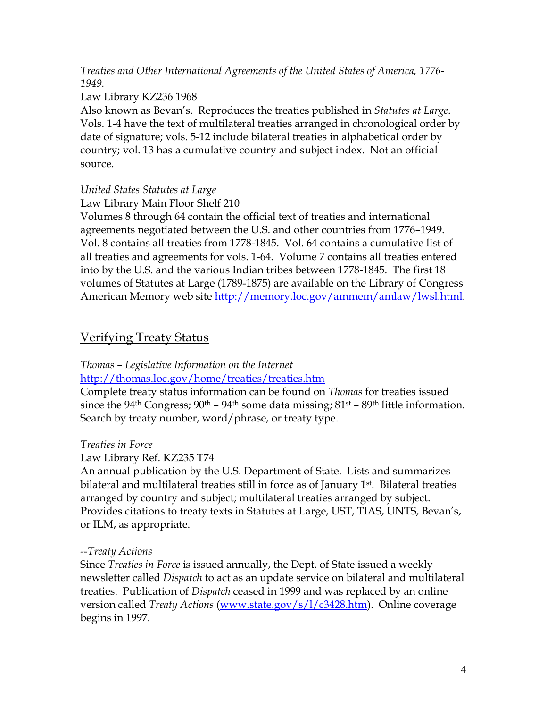*Treaties and Other International Agreements of the United States of America, 1776- 1949.* 

### Law Library KZ236 1968

Also known as Bevan's. Reproduces the treaties published in *Statutes at Large*. Vols. 1-4 have the text of multilateral treaties arranged in chronological order by date of signature; vols. 5-12 include bilateral treaties in alphabetical order by country; vol. 13 has a cumulative country and subject index. Not an official source.

## *United States Statutes at Large*

Law Library Main Floor Shelf 210

Volumes 8 through 64 contain the official text of treaties and international agreements negotiated between the U.S. and other countries from 1776–1949. Vol. 8 contains all treaties from 1778-1845. Vol. 64 contains a cumulative list of all treaties and agreements for vols. 1-64. Volume 7 contains all treaties entered into by the U.S. and the various Indian tribes between 1778-1845. The first 18 volumes of Statutes at Large (1789-1875) are available on the Library of Congress American Memory web site [http://memory.loc.gov/ammem/amlaw/lwsl.html.](http://memory.loc.gov/ammem/amlaw/lwsl.html)

# Verifying Treaty Status

### *Thomas – Legislative Information on the Internet*  <http://thomas.loc.gov/home/treaties/treaties.htm>

Complete treaty status information can be found on *Thomas* for treaties issued since the 94<sup>th</sup> Congress; 90<sup>th</sup> – 94<sup>th</sup> some data missing; 81<sup>st</sup> – 89<sup>th</sup> little information. Search by treaty number, word/phrase, or treaty type.

## *Treaties in Force*

## Law Library Ref. KZ235 T74

An annual publication by the U.S. Department of State. Lists and summarizes bilateral and multilateral treaties still in force as of January  $1<sup>st</sup>$ . Bilateral treaties arranged by country and subject; multilateral treaties arranged by subject. Provides citations to treaty texts in Statutes at Large, UST, TIAS, UNTS, Bevan's, or ILM, as appropriate.

### --*Treaty Actions*

Since *Treaties in Force* is issued annually, the Dept. of State issued a weekly newsletter called *Dispatch* to act as an update service on bilateral and multilateral treaties. Publication of *Dispatch* ceased in 1999 and was replaced by an online version called *Treaty Actions* [\(www.state.gov/s/l/c3428.htm](http://www.state.gov/s/l/c3428.htm)). Online coverage begins in 1997.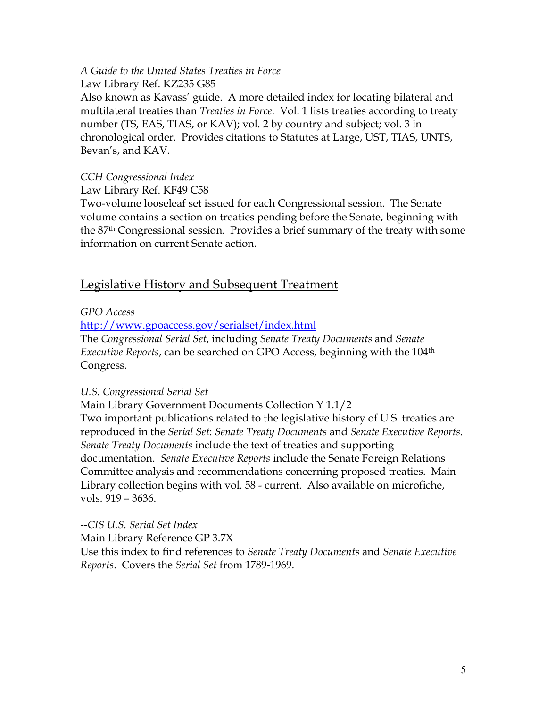# *A Guide to the United States Treaties in Force*

Law Library Ref. KZ235 G85

Also known as Kavass' guide. A more detailed index for locating bilateral and multilateral treaties than *Treaties in Force*. Vol. 1 lists treaties according to treaty number (TS, EAS, TIAS, or KAV); vol. 2 by country and subject; vol. 3 in chronological order. Provides citations to Statutes at Large, UST, TIAS, UNTS, Bevan's, and KAV.

### *CCH Congressional Index*

Law Library Ref. KF49 C58

Two-volume looseleaf set issued for each Congressional session. The Senate volume contains a section on treaties pending before the Senate, beginning with the 87th Congressional session. Provides a brief summary of the treaty with some information on current Senate action.

# Legislative History and Subsequent Treatment

## *GPO Access*

<http://www.gpoaccess.gov/serialset/index.html>

The *Congressional Serial Set*, including *Senate Treaty Documents* and *Senate Executive Reports*, can be searched on GPO Access, beginning with the 104th Congress.

## *U.S. Congressional Serial Set*

Main Library Government Documents Collection Y 1.1/2 Two important publications related to the legislative history of U.S. treaties are reproduced in the *Serial Set*: *Senate Treaty Documents* and *Senate Executive Reports*. *Senate Treaty Documents* include the text of treaties and supporting documentation. *Senate Executive Reports* include the Senate Foreign Relations Committee analysis and recommendations concerning proposed treaties. Main Library collection begins with vol. 58 - current. Also available on microfiche, vols. 919 – 3636.

--*CIS U.S. Serial Set Index*  Main Library Reference GP 3.7X Use this index to find references to *Senate Treaty Documents* and *Senate Executive Reports*. Covers the *Serial Set* from 1789-1969.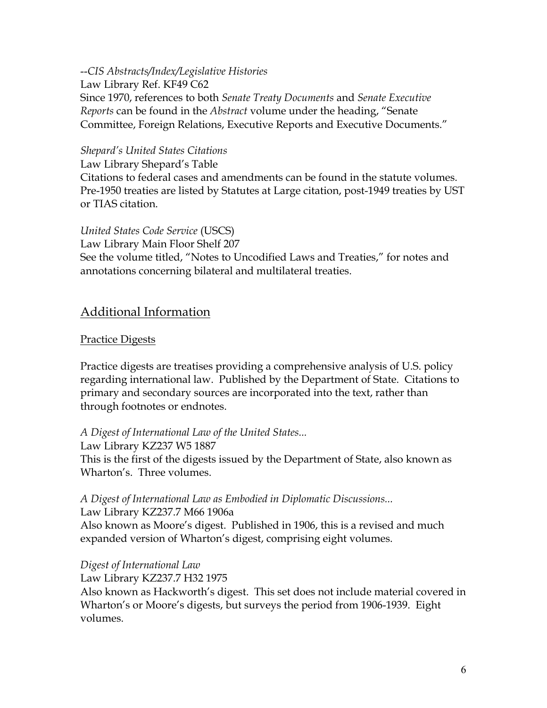--*CIS Abstracts/Index/Legislative Histories*  Law Library Ref. KF49 C62 Since 1970, references to both *Senate Treaty Documents* and *Senate Executive Reports* can be found in the *Abstract* volume under the heading, "Senate Committee, Foreign Relations, Executive Reports and Executive Documents."

#### *Shepard's United States Citations*

Law Library Shepard's Table Citations to federal cases and amendments can be found in the statute volumes. Pre-1950 treaties are listed by Statutes at Large citation, post-1949 treaties by UST or TIAS citation.

*United States Code Service* (USCS) Law Library Main Floor Shelf 207 See the volume titled, "Notes to Uncodified Laws and Treaties," for notes and annotations concerning bilateral and multilateral treaties.

# Additional Information

### Practice Digests

Practice digests are treatises providing a comprehensive analysis of U.S. policy regarding international law. Published by the Department of State. Citations to primary and secondary sources are incorporated into the text, rather than through footnotes or endnotes.

### *A Digest of International Law of the United States...*

Law Library KZ237 W5 1887 This is the first of the digests issued by the Department of State, also known as Wharton's. Three volumes.

### *A Digest of International Law as Embodied in Diplomatic Discussions...*  Law Library KZ237.7 M66 1906a

Also known as Moore's digest. Published in 1906, this is a revised and much expanded version of Wharton's digest, comprising eight volumes.

### *Digest of International Law*

Law Library KZ237.7 H32 1975

Also known as Hackworth's digest. This set does not include material covered in Wharton's or Moore's digests, but surveys the period from 1906-1939. Eight volumes.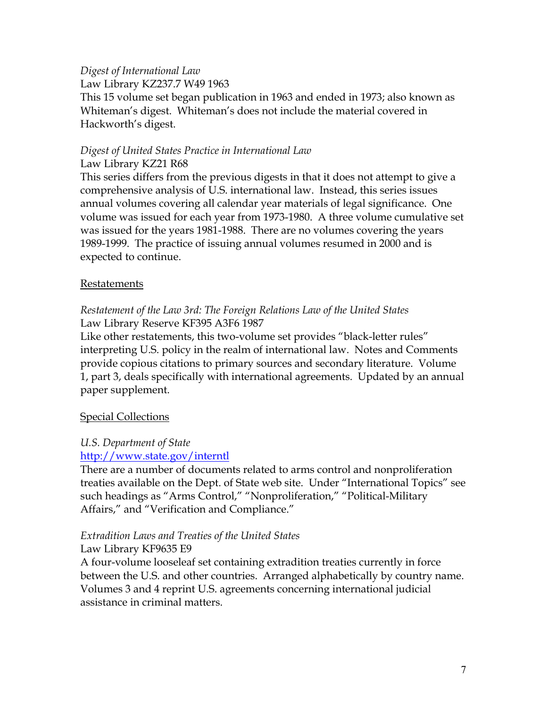# *Digest of International Law*

Law Library KZ237.7 W49 1963

This 15 volume set began publication in 1963 and ended in 1973; also known as Whiteman's digest. Whiteman's does not include the material covered in Hackworth's digest.

### *Digest of United States Practice in International Law*  Law Library KZ21 R68

This series differs from the previous digests in that it does not attempt to give a comprehensive analysis of U.S. international law. Instead, this series issues annual volumes covering all calendar year materials of legal significance. One volume was issued for each year from 1973-1980. A three volume cumulative set was issued for the years 1981-1988. There are no volumes covering the years 1989-1999. The practice of issuing annual volumes resumed in 2000 and is expected to continue.

#### Restatements

### *Restatement of the Law 3rd: The Foreign Relations Law of the United States*  Law Library Reserve KF395 A3F6 1987

Like other restatements, this two-volume set provides "black-letter rules" interpreting U.S. policy in the realm of international law. Notes and Comments provide copious citations to primary sources and secondary literature. Volume 1, part 3, deals specifically with international agreements. Updated by an annual paper supplement.

### **Special Collections**

### *U.S. Department of State*

### <http://www.state.gov/interntl>

There are a number of documents related to arms control and nonproliferation treaties available on the Dept. of State web site. Under "International Topics" see such headings as "Arms Control," "Nonproliferation," "Political-Military Affairs," and "Verification and Compliance."

## *Extradition Laws and Treaties of the United States*

Law Library KF9635 E9

A four-volume looseleaf set containing extradition treaties currently in force between the U.S. and other countries. Arranged alphabetically by country name. Volumes 3 and 4 reprint U.S. agreements concerning international judicial assistance in criminal matters.